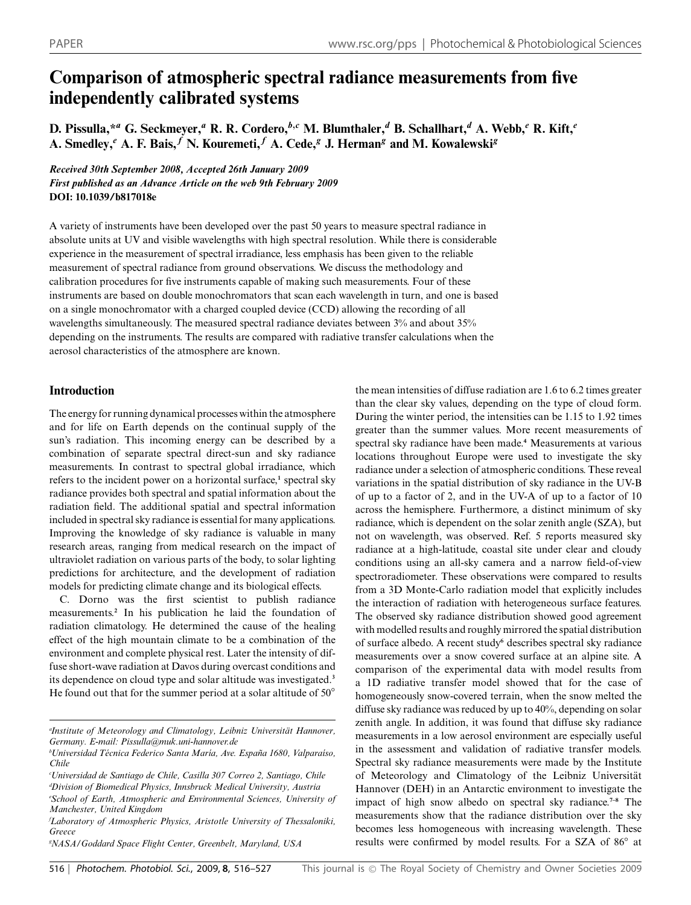# **Comparison of atmospheric spectral radiance measurements from five independently calibrated systems**

**D. Pissulla,\****<sup>a</sup>* **G. Seckmeyer,***<sup>a</sup>* **R. R. Cordero,***<sup>b</sup>,<sup>c</sup>* **M. Blumthaler,***<sup>d</sup>* **B. Schallhart,***<sup>d</sup>* **A. Webb,***<sup>e</sup>* **R. Kift,***<sup>e</sup>* A. Smedley,<sup>*e*</sup> A. F. Bais,<sup>*f*</sup> N. Kouremeti,<sup>*f*</sup> A. Cede,<sup>*g*</sup> J. Herman<sup>*g*</sup> and M. Kowalewski<sup>*g*</sup>

*Received 30th September 2008, Accepted 26th January 2009 First published as an Advance Article on the web 9th February 2009* **DOI: 10.1039/b817018e**

A variety of instruments have been developed over the past 50 years to measure spectral radiance in absolute units at UV and visible wavelengths with high spectral resolution. While there is considerable experience in the measurement of spectral irradiance, less emphasis has been given to the reliable measurement of spectral radiance from ground observations. We discuss the methodology and calibration procedures for five instruments capable of making such measurements. Four of these instruments are based on double monochromators that scan each wavelength in turn, and one is based on a single monochromator with a charged coupled device (CCD) allowing the recording of all wavelengths simultaneously. The measured spectral radiance deviates between 3% and about 35% depending on the instruments. The results are compared with radiative transfer calculations when the aerosol characteristics of the atmosphere are known.

# **Introduction**

The energy for running dynamical processes within the atmosphere and for life on Earth depends on the continual supply of the sun's radiation. This incoming energy can be described by a combination of separate spectral direct-sun and sky radiance measurements. In contrast to spectral global irradiance, which refers to the incident power on a horizontal surface,**<sup>1</sup>** spectral sky radiance provides both spectral and spatial information about the radiation field. The additional spatial and spectral information included in spectral sky radiance is essential for many applications. Improving the knowledge of sky radiance is valuable in many research areas, ranging from medical research on the impact of ultraviolet radiation on various parts of the body, to solar lighting predictions for architecture, and the development of radiation models for predicting climate change and its biological effects.

C. Dorno was the first scientist to publish radiance measurements.**<sup>2</sup>** In his publication he laid the foundation of radiation climatology. He determined the cause of the healing effect of the high mountain climate to be a combination of the environment and complete physical rest. Later the intensity of diffuse short-wave radiation at Davos during overcast conditions and its dependence on cloud type and solar altitude was investigated.**<sup>3</sup>** He found out that for the summer period at a solar altitude of 50*◦*

*Manchester, United Kingdom*

*g NASA/Goddard Space Flight Center, Greenbelt, Maryland, USA*

the mean intensities of diffuse radiation are 1.6 to 6.2 times greater than the clear sky values, depending on the type of cloud form. During the winter period, the intensities can be 1.15 to 1.92 times greater than the summer values. More recent measurements of spectral sky radiance have been made.**<sup>4</sup>** Measurements at various locations throughout Europe were used to investigate the sky radiance under a selection of atmospheric conditions. These reveal variations in the spatial distribution of sky radiance in the UV-B of up to a factor of 2, and in the UV-A of up to a factor of 10 across the hemisphere. Furthermore, a distinct minimum of sky radiance, which is dependent on the solar zenith angle (SZA), but not on wavelength, was observed. Ref. 5 reports measured sky radiance at a high-latitude, coastal site under clear and cloudy conditions using an all-sky camera and a narrow field-of-view spectroradiometer. These observations were compared to results from a 3D Monte-Carlo radiation model that explicitly includes the interaction of radiation with heterogeneous surface features. The observed sky radiance distribution showed good agreement with modelled results and roughly mirrored the spatial distribution of surface albedo. A recent study**<sup>6</sup>** describes spectral sky radiance measurements over a snow covered surface at an alpine site. A comparison of the experimental data with model results from a 1D radiative transfer model showed that for the case of homogeneously snow-covered terrain, when the snow melted the diffuse sky radiance was reduced by up to 40%, depending on solar zenith angle. In addition, it was found that diffuse sky radiance measurements in a low aerosol environment are especially useful in the assessment and validation of radiative transfer models. Spectral sky radiance measurements were made by the Institute of Meteorology and Climatology of the Leibniz Universität Hannover (DEH) in an Antarctic environment to investigate the impact of high snow albedo on spectral sky radiance.**7–8** The measurements show that the radiance distribution over the sky becomes less homogeneous with increasing wavelength. These results were confirmed by model results. For a SZA of 86*◦* at

*a Institute of Meteorology and Climatology, Leibniz Universitat Hannover, ¨ Germany. E-mail: Pissulla@muk.uni-hannover.de*

*bUniversidad Técnica Federico Santa María, Ave. España 1680, Valparaíso, Chile*

*c Universidad de Santiago de Chile, Casilla 307 Correo 2, Santiago, Chile d Division of Biomedical Physics, Innsbruck Medical University, Austria e School of Earth, Atmospheric and Environmental Sciences, University of*

*f Laboratory of Atmospheric Physics, Aristotle University of Thessaloniki, Greece*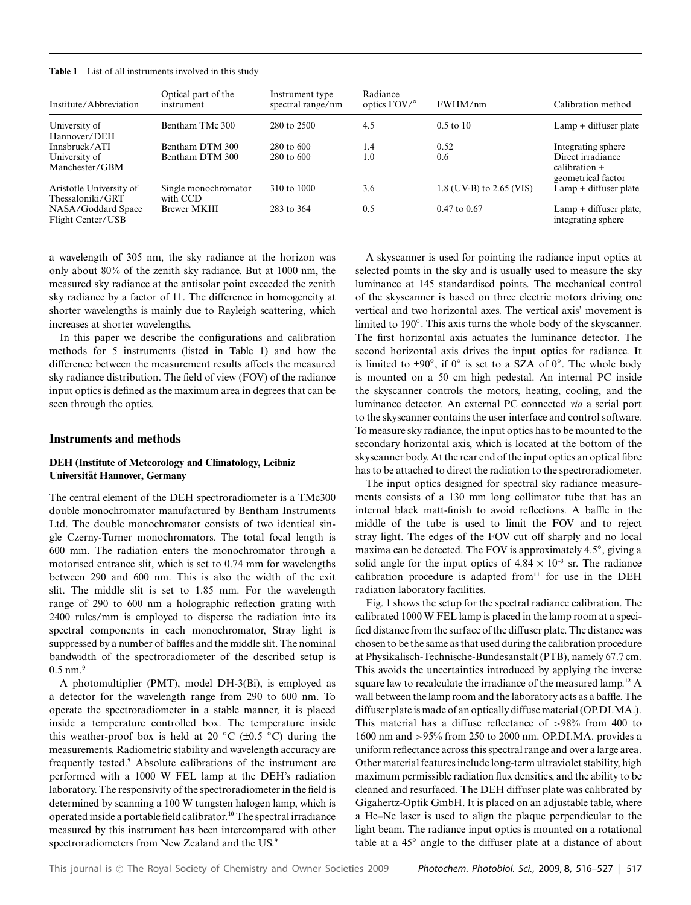| Institute/Abbreviation                      | Optical part of the<br>instrument | Instrument type<br>spectral range/nm | Radiance<br>optics FOV/° | FWHM/nm                  | Calibration method                                         |
|---------------------------------------------|-----------------------------------|--------------------------------------|--------------------------|--------------------------|------------------------------------------------------------|
| University of<br>Hannover/DEH               | Bentham TMc 300                   | 280 to 2500                          | 4.5                      | $0.5 \text{ to } 10$     | $Lamp + diffuser plate$                                    |
| Innsbruck/ATI                               | Bentham DTM 300                   | $280 \text{ to } 600$                | 1.4                      | 0.52                     | Integrating sphere                                         |
| University of<br>Manchester/GBM             | Bentham DTM 300                   | $280 \text{ to } 600$                | 1.0                      | 0.6                      | Direct irradiance<br>$calibration +$<br>geometrical factor |
| Aristotle University of<br>Thessaloniki/GRT | Single monochromator<br>with CCD  | 310 to 1000                          | 3.6                      | 1.8 (UV-B) to 2.65 (VIS) | $Lamp + diffuser plate$                                    |
| NASA/Goddard Space<br>Flight Center/USB     | <b>Brewer MKIII</b>               | 283 to 364                           | 0.5                      | $0.47$ to $0.67$         | $Lamp + diffuser plate$ ,<br>integrating sphere            |

a wavelength of 305 nm, the sky radiance at the horizon was only about 80% of the zenith sky radiance. But at 1000 nm, the measured sky radiance at the antisolar point exceeded the zenith sky radiance by a factor of 11. The difference in homogeneity at shorter wavelengths is mainly due to Rayleigh scattering, which increases at shorter wavelengths.

In this paper we describe the configurations and calibration methods for 5 instruments (listed in Table 1) and how the difference between the measurement results affects the measured sky radiance distribution. The field of view (FOV) of the radiance input optics is defined as the maximum area in degrees that can be seen through the optics.

## **Instruments and methods**

# **DEH (Institute of Meteorology and Climatology, Leibniz Universitat Hannover, Germany ¨**

The central element of the DEH spectroradiometer is a TMc300 double monochromator manufactured by Bentham Instruments Ltd. The double monochromator consists of two identical single Czerny-Turner monochromators. The total focal length is 600 mm. The radiation enters the monochromator through a motorised entrance slit, which is set to 0.74 mm for wavelengths between 290 and 600 nm. This is also the width of the exit slit. The middle slit is set to 1.85 mm. For the wavelength range of 290 to 600 nm a holographic reflection grating with 2400 rules/mm is employed to disperse the radiation into its spectral components in each monochromator, Stray light is suppressed by a number of baffles and the middle slit. The nominal bandwidth of the spectroradiometer of the described setup is 0.5 nm.**<sup>9</sup>**

A photomultiplier (PMT), model DH-3(Bi), is employed as a detector for the wavelength range from 290 to 600 nm. To operate the spectroradiometer in a stable manner, it is placed inside a temperature controlled box. The temperature inside this weather-proof box is held at 20 *◦*C (±0.5 *◦*C) during the measurements. Radiometric stability and wavelength accuracy are frequently tested.**<sup>7</sup>** Absolute calibrations of the instrument are performed with a 1000 W FEL lamp at the DEH's radiation laboratory. The responsivity of the spectroradiometer in the field is determined by scanning a 100 W tungsten halogen lamp, which is operated inside a portable field calibrator.**<sup>10</sup>** The spectral irradiance measured by this instrument has been intercompared with other spectroradiometers from New Zealand and the US.**<sup>9</sup>**

A skyscanner is used for pointing the radiance input optics at selected points in the sky and is usually used to measure the sky luminance at 145 standardised points. The mechanical control of the skyscanner is based on three electric motors driving one vertical and two horizontal axes. The vertical axis' movement is limited to 190*◦*. This axis turns the whole body of the skyscanner. The first horizontal axis actuates the luminance detector. The second horizontal axis drives the input optics for radiance. It is limited to ±90*◦*, if 0*◦* is set to a SZA of 0*◦*. The whole body is mounted on a 50 cm high pedestal. An internal PC inside the skyscanner controls the motors, heating, cooling, and the luminance detector. An external PC connected *via* a serial port to the skyscanner contains the user interface and control software. To measure sky radiance, the input optics has to be mounted to the secondary horizontal axis, which is located at the bottom of the skyscanner body. At the rear end of the input optics an optical fibre has to be attached to direct the radiation to the spectroradiometer.

The input optics designed for spectral sky radiance measurements consists of a 130 mm long collimator tube that has an internal black matt-finish to avoid reflections. A baffle in the middle of the tube is used to limit the FOV and to reject stray light. The edges of the FOV cut off sharply and no local maxima can be detected. The FOV is approximately 4.5*◦*, giving a solid angle for the input optics of  $4.84 \times 10^{-3}$  sr. The radiance calibration procedure is adapted from**<sup>11</sup>** for use in the DEH radiation laboratory facilities.

Fig. 1 shows the setup for the spectral radiance calibration. The calibrated 1000 W FEL lamp is placed in the lamp room at a specified distance from the surface of the diffuser plate. The distance was chosen to be the same as that used during the calibration procedure at Physikalisch-Technische-Bundesanstalt (PTB), namely 67.7 cm. This avoids the uncertainties introduced by applying the inverse square law to recalculate the irradiance of the measured lamp.**<sup>12</sup>** A wall between the lamp room and the laboratory acts as a baffle. The diffuser plate is made of an optically diffuse material (OP.DI.MA.). This material has a diffuse reflectance of >98% from 400 to 1600 nm and >95% from 250 to 2000 nm. OP.DI.MA. provides a uniform reflectance across this spectral range and over a large area. Other material features include long-term ultraviolet stability, high maximum permissible radiation flux densities, and the ability to be cleaned and resurfaced. The DEH diffuser plate was calibrated by Gigahertz-Optik GmbH. It is placed on an adjustable table, where a He–Ne laser is used to align the plaque perpendicular to the light beam. The radiance input optics is mounted on a rotational table at a 45*◦* angle to the diffuser plate at a distance of about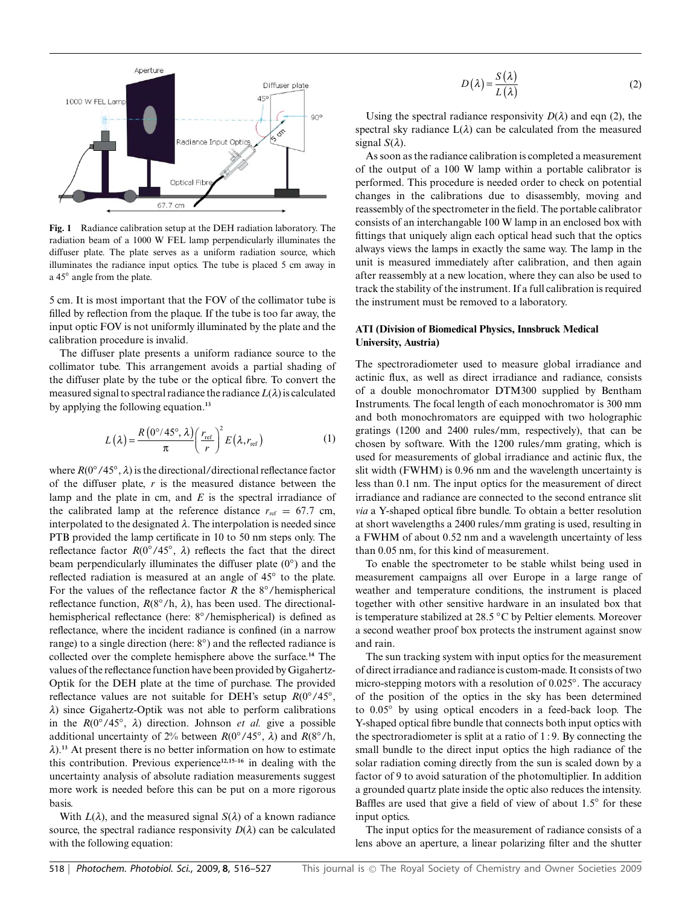

**Fig. 1** Radiance calibration setup at the DEH radiation laboratory. The radiation beam of a 1000 W FEL lamp perpendicularly illuminates the diffuser plate. The plate serves as a uniform radiation source, which illuminates the radiance input optics. The tube is placed 5 cm away in a 45*◦* angle from the plate.

5 cm. It is most important that the FOV of the collimator tube is filled by reflection from the plaque. If the tube is too far away, the input optic FOV is not uniformly illuminated by the plate and the calibration procedure is invalid.

The diffuser plate presents a uniform radiance source to the collimator tube. This arrangement avoids a partial shading of the diffuser plate by the tube or the optical fibre. To convert the measured signal to spectral radiance the radiance  $L(\lambda)$  is calculated by applying the following equation.**<sup>13</sup>**

$$
L(\lambda) = \frac{R(0^{\circ}/45^{\circ}, \lambda)}{\pi} \left(\frac{r_{\text{ref}}}{r}\right)^2 E(\lambda, r_{\text{ref}})
$$
 (1)

where *R*(0*◦*/45*◦*, *l*) is the directional/directional reflectance factor of the diffuser plate, *r* is the measured distance between the lamp and the plate in cm, and *E* is the spectral irradiance of the calibrated lamp at the reference distance  $r_{ref} = 67.7$  cm, interpolated to the designated  $\lambda$ . The interpolation is needed since PTB provided the lamp certificate in 10 to 50 nm steps only. The reflectance factor  $R(0°/45°, \lambda)$  reflects the fact that the direct beam perpendicularly illuminates the diffuser plate (0*◦*) and the reflected radiation is measured at an angle of 45*◦* to the plate. For the values of the reflectance factor *R* the 8*◦*/hemispherical reflectance function,  $R(8°/h, \lambda)$ , has been used. The directionalhemispherical reflectance (here: 8*◦*/hemispherical) is defined as reflectance, where the incident radiance is confined (in a narrow range) to a single direction (here: 8*◦*) and the reflected radiance is collected over the complete hemisphere above the surface.**<sup>14</sup>** The values of the reflectance function have been provided by Gigahertz-Optik for the DEH plate at the time of purchase. The provided reflectance values are not suitable for DEH's setup *R*(0*◦*/45*◦*, *l*) since Gigahertz-Optik was not able to perform calibrations in the *R*(0*◦*/45*◦*, *l*) direction. Johnson *et al.* give a possible additional uncertainty of 2% between *R*(0*◦*/45*◦*, *l*) and *R*(8*◦*/h, *l*).**<sup>13</sup>** At present there is no better information on how to estimate this contribution. Previous experience**12,15–16** in dealing with the uncertainty analysis of absolute radiation measurements suggest more work is needed before this can be put on a more rigorous basis.

With  $L(\lambda)$ , and the measured signal  $S(\lambda)$  of a known radiance source, the spectral radiance responsivity  $D(\lambda)$  can be calculated with the following equation:

$$
D(\lambda) = \frac{S(\lambda)}{L(\lambda)}
$$
 (2)

Using the spectral radiance responsivity  $D(\lambda)$  and eqn (2), the spectral sky radiance  $L(\lambda)$  can be calculated from the measured signal  $S(\lambda)$ .

As soon as the radiance calibration is completed a measurement of the output of a 100 W lamp within a portable calibrator is performed. This procedure is needed order to check on potential changes in the calibrations due to disassembly, moving and reassembly of the spectrometer in the field. The portable calibrator consists of an interchangable 100 W lamp in an enclosed box with fittings that uniquely align each optical head such that the optics always views the lamps in exactly the same way. The lamp in the unit is measured immediately after calibration, and then again after reassembly at a new location, where they can also be used to track the stability of the instrument. If a full calibration is required the instrument must be removed to a laboratory.

## **ATI (Division of Biomedical Physics, Innsbruck Medical University, Austria)**

The spectroradiometer used to measure global irradiance and actinic flux, as well as direct irradiance and radiance, consists of a double monochromator DTM300 supplied by Bentham Instruments. The focal length of each monochromator is 300 mm and both monochromators are equipped with two holographic gratings (1200 and 2400 rules/mm, respectively), that can be chosen by software. With the 1200 rules/mm grating, which is used for measurements of global irradiance and actinic flux, the slit width (FWHM) is 0.96 nm and the wavelength uncertainty is less than 0.1 nm. The input optics for the measurement of direct irradiance and radiance are connected to the second entrance slit *via* a Y-shaped optical fibre bundle. To obtain a better resolution at short wavelengths a 2400 rules/mm grating is used, resulting in a FWHM of about 0.52 nm and a wavelength uncertainty of less than 0.05 nm, for this kind of measurement.

To enable the spectrometer to be stable whilst being used in measurement campaigns all over Europe in a large range of weather and temperature conditions, the instrument is placed together with other sensitive hardware in an insulated box that is temperature stabilized at 28.5 *◦*C by Peltier elements. Moreover a second weather proof box protects the instrument against snow and rain.

The sun tracking system with input optics for the measurement of direct irradiance and radiance is custom-made. It consists of two micro-stepping motors with a resolution of 0.025*◦*. The accuracy of the position of the optics in the sky has been determined to 0.05*◦* by using optical encoders in a feed-back loop. The Y-shaped optical fibre bundle that connects both input optics with the spectroradiometer is split at a ratio of 1 : 9. By connecting the small bundle to the direct input optics the high radiance of the solar radiation coming directly from the sun is scaled down by a factor of 9 to avoid saturation of the photomultiplier. In addition a grounded quartz plate inside the optic also reduces the intensity. Baffles are used that give a field of view of about 1.5*◦* for these input optics.

The input optics for the measurement of radiance consists of a lens above an aperture, a linear polarizing filter and the shutter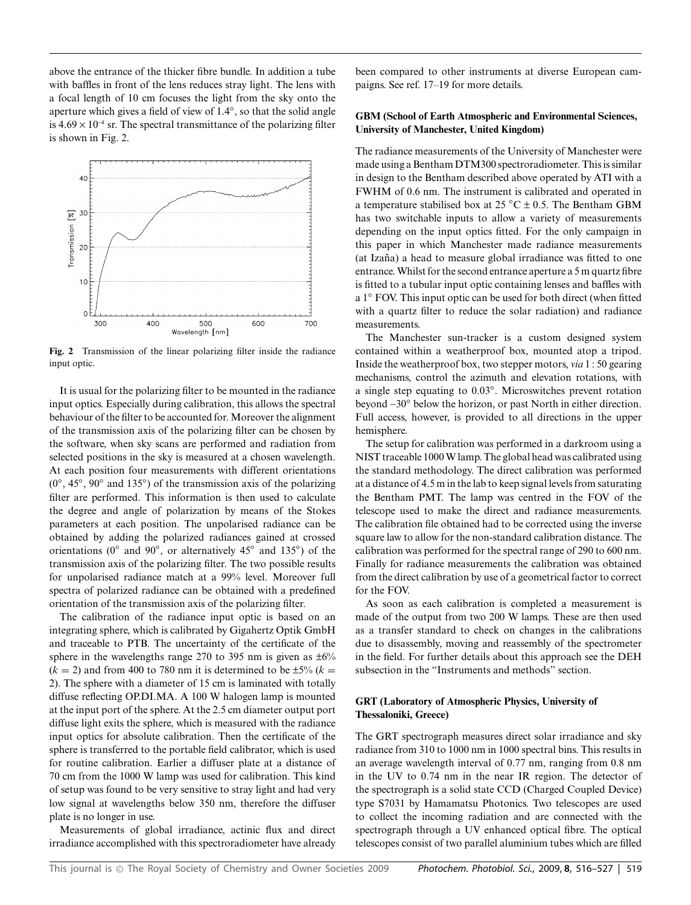above the entrance of the thicker fibre bundle. In addition a tube with baffles in front of the lens reduces stray light. The lens with a focal length of 10 cm focuses the light from the sky onto the aperture which gives a field of view of 1.4*◦*, so that the solid angle is  $4.69 \times 10^{-4}$  sr. The spectral transmittance of the polarizing filter is shown in Fig. 2.



**Fig. 2** Transmission of the linear polarizing filter inside the radiance input optic.

It is usual for the polarizing filter to be mounted in the radiance input optics. Especially during calibration, this allows the spectral behaviour of the filter to be accounted for. Moreover the alignment of the transmission axis of the polarizing filter can be chosen by the software, when sky scans are performed and radiation from selected positions in the sky is measured at a chosen wavelength. At each position four measurements with different orientations (0*◦*, 45*◦*, 90*◦* and 135*◦*) of the transmission axis of the polarizing filter are performed. This information is then used to calculate the degree and angle of polarization by means of the Stokes parameters at each position. The unpolarised radiance can be obtained by adding the polarized radiances gained at crossed orientations (0*◦* and 90*◦*, or alternatively 45*◦* and 135*◦*) of the transmission axis of the polarizing filter. The two possible results for unpolarised radiance match at a 99% level. Moreover full spectra of polarized radiance can be obtained with a predefined orientation of the transmission axis of the polarizing filter.

The calibration of the radiance input optic is based on an integrating sphere, which is calibrated by Gigahertz Optik GmbH and traceable to PTB. The uncertainty of the certificate of the sphere in the wavelengths range 270 to 395 nm is given as  $\pm 6\%$  $(k = 2)$  and from 400 to 780 nm it is determined to be  $\pm 5\%$  ( $k =$ 2). The sphere with a diameter of 15 cm is laminated with totally diffuse reflecting OP.DI.MA. A 100 W halogen lamp is mounted at the input port of the sphere. At the 2.5 cm diameter output port diffuse light exits the sphere, which is measured with the radiance input optics for absolute calibration. Then the certificate of the sphere is transferred to the portable field calibrator, which is used for routine calibration. Earlier a diffuser plate at a distance of 70 cm from the 1000 W lamp was used for calibration. This kind of setup was found to be very sensitive to stray light and had very low signal at wavelengths below 350 nm, therefore the diffuser plate is no longer in use.

Measurements of global irradiance, actinic flux and direct irradiance accomplished with this spectroradiometer have already

been compared to other instruments at diverse European campaigns. See ref. 17–19 for more details.

#### **GBM (School of Earth Atmospheric and Environmental Sciences, University of Manchester, United Kingdom)**

The radiance measurements of the University of Manchester were made using a Bentham DTM300 spectroradiometer. This is similar in design to the Bentham described above operated by ATI with a FWHM of 0.6 nm. The instrument is calibrated and operated in a temperature stabilised box at 25 *◦*C ± 0.5. The Bentham GBM has two switchable inputs to allow a variety of measurements depending on the input optics fitted. For the only campaign in this paper in which Manchester made radiance measurements (at Izaña) a head to measure global irradiance was fitted to one entrance. Whilst for the second entrance aperture a 5 m quartz fibre is fitted to a tubular input optic containing lenses and baffles with a 1*◦* FOV. This input optic can be used for both direct (when fitted with a quartz filter to reduce the solar radiation) and radiance measurements.

The Manchester sun-tracker is a custom designed system contained within a weatherproof box, mounted atop a tripod. Inside the weatherproof box, two stepper motors, *via* 1 : 50 gearing mechanisms, control the azimuth and elevation rotations, with a single step equating to 0.03*◦*. Microswitches prevent rotation beyond ~30*◦* below the horizon, or past North in either direction. Full access, however, is provided to all directions in the upper hemisphere.

The setup for calibration was performed in a darkroom using a NIST traceable 1000 W lamp. The global head was calibrated using the standard methodology. The direct calibration was performed at a distance of 4.5 m in the lab to keep signal levels from saturating the Bentham PMT. The lamp was centred in the FOV of the telescope used to make the direct and radiance measurements. The calibration file obtained had to be corrected using the inverse square law to allow for the non-standard calibration distance. The calibration was performed for the spectral range of 290 to 600 nm. Finally for radiance measurements the calibration was obtained from the direct calibration by use of a geometrical factor to correct for the FOV.

As soon as each calibration is completed a measurement is made of the output from two 200 W lamps. These are then used as a transfer standard to check on changes in the calibrations due to disassembly, moving and reassembly of the spectrometer in the field. For further details about this approach see the DEH subsection in the "Instruments and methods" section.

## **GRT (Laboratory of Atmospheric Physics, University of Thessaloniki, Greece)**

The GRT spectrograph measures direct solar irradiance and sky radiance from 310 to 1000 nm in 1000 spectral bins. This results in an average wavelength interval of 0.77 nm, ranging from 0.8 nm in the UV to 0.74 nm in the near IR region. The detector of the spectrograph is a solid state CCD (Charged Coupled Device) type S7031 by Hamamatsu Photonics. Two telescopes are used to collect the incoming radiation and are connected with the spectrograph through a UV enhanced optical fibre. The optical telescopes consist of two parallel aluminium tubes which are filled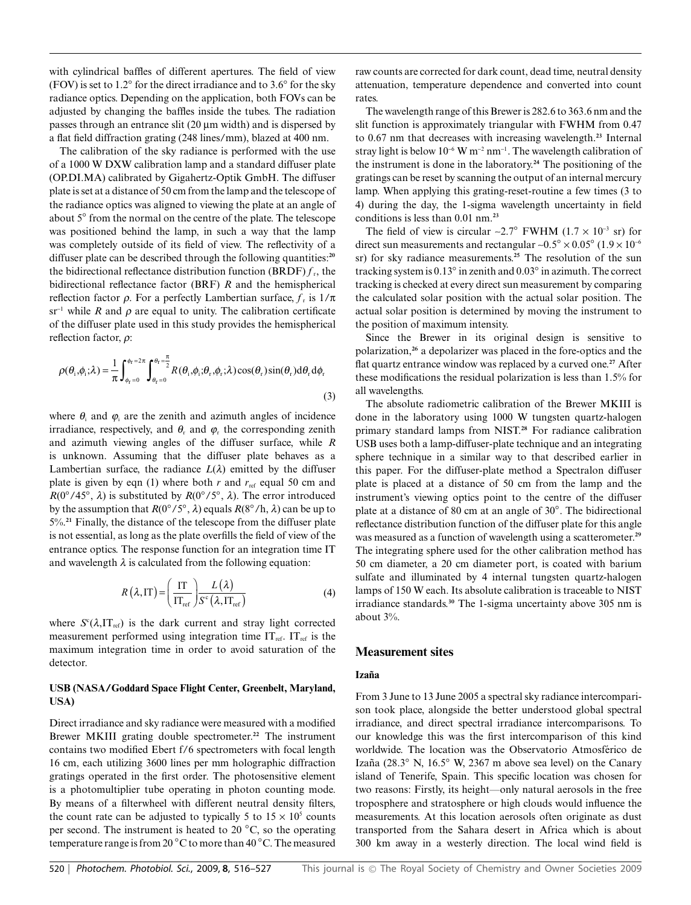with cylindrical baffles of different apertures. The field of view (FOV) is set to 1.2*◦* for the direct irradiance and to 3.6*◦* for the sky radiance optics. Depending on the application, both FOVs can be adjusted by changing the baffles inside the tubes. The radiation passes through an entrance slit (20  $\mu$ m width) and is dispersed by a flat field diffraction grating (248 lines/mm), blazed at 400 nm.

The calibration of the sky radiance is performed with the use of a 1000 W DXW calibration lamp and a standard diffuser plate (OP.DI.MA) calibrated by Gigahertz-Optik GmbH. The diffuser plate is set at a distance of 50 cm from the lamp and the telescope of the radiance optics was aligned to viewing the plate at an angle of about 5*◦* from the normal on the centre of the plate. The telescope was positioned behind the lamp, in such a way that the lamp was completely outside of its field of view. The reflectivity of a diffuser plate can be described through the following quantities:**<sup>20</sup>** the bidirectional reflectance distribution function (BRDF)  $f<sub>r</sub>$ , the bidirectional reflectance factor (BRF) *R* and the hemispherical reflection factor  $\rho$ . For a perfectly Lambertian surface,  $f_r$  is  $1/\pi$  $sr^{-1}$  while *R* and  $\rho$  are equal to unity. The calibration certificate of the diffuser plate used in this study provides the hemispherical reflection factor,  $\rho$ :

$$
\rho(\theta_i, \phi_i; \lambda) = \frac{1}{\pi} \int_{\phi_r=0}^{\phi_r=2\pi} \int_{\theta_r=0}^{\theta_r=\frac{\pi}{2}} R(\theta_i, \phi_i; \theta_r, \phi_r; \lambda) \cos(\theta_r) \sin(\theta_r) d\theta_r d\phi_r
$$
\n(3)

where  $\theta_i$  and  $\varphi_i$  are the zenith and azimuth angles of incidence irradiance, respectively, and  $\theta_r$  and  $\varphi_r$  the corresponding zenith and azimuth viewing angles of the diffuser surface, while *R* is unknown. Assuming that the diffuser plate behaves as a Lambertian surface, the radiance  $L(\lambda)$  emitted by the diffuser plate is given by eqn (1) where both  $r$  and  $r_{ref}$  equal 50 cm and *R*(0*◦*/45*◦*, *l*) is substituted by *R*(0*◦*/5*◦*, *l*). The error introduced by the assumption that  $R(0°/5°, \lambda)$  equals  $R(8°/h, \lambda)$  can be up to 5%.**<sup>21</sup>** Finally, the distance of the telescope from the diffuser plate is not essential, as long as the plate overfills the field of view of the entrance optics. The response function for an integration time IT and wavelength  $\lambda$  is calculated from the following equation:

$$
R\left(\lambda,\text{IT}\right) = \left(\frac{\text{IT}}{\text{IT}_{\text{ref}}}\right) \frac{L\left(\lambda\right)}{S^{\text{c}}\left(\lambda,\text{IT}_{\text{ref}}\right)}\tag{4}
$$

where  $S^c(\lambda, I T_{ref})$  is the dark current and stray light corrected measurement performed using integration time  $IT_{ref.} IT_{ref}$  is the maximum integration time in order to avoid saturation of the detector.

## **USB (NASA/Goddard Space Flight Center, Greenbelt, Maryland, USA)**

Direct irradiance and sky radiance were measured with a modified Brewer MKIII grating double spectrometer.**<sup>22</sup>** The instrument contains two modified Ebert f/6 spectrometers with focal length 16 cm, each utilizing 3600 lines per mm holographic diffraction gratings operated in the first order. The photosensitive element is a photomultiplier tube operating in photon counting mode. By means of a filterwheel with different neutral density filters, the count rate can be adjusted to typically 5 to  $15 \times 10^5$  counts per second. The instrument is heated to 20 *◦*C, so the operating temperature range is from 20 *◦*C to more than 40 *◦*C. The measured

raw counts are corrected for dark count, dead time, neutral density attenuation, temperature dependence and converted into count rates.

The wavelength range of this Brewer is 282.6 to 363.6 nm and the slit function is approximately triangular with FWHM from 0.47 to 0.67 nm that decreases with increasing wavelength.**<sup>23</sup>** Internal stray light is below  $10^{-6}$  W m<sup>-2</sup> nm<sup>-1</sup>. The wavelength calibration of the instrument is done in the laboratory.**<sup>24</sup>** The positioning of the gratings can be reset by scanning the output of an internal mercury lamp. When applying this grating-reset-routine a few times (3 to 4) during the day, the 1-sigma wavelength uncertainty in field conditions is less than 0.01 nm.**<sup>23</sup>**

The field of view is circular ~2.7<sup>°</sup> FWHM ( $1.7 \times 10^{-3}$  sr) for direct sun measurements and rectangular  $\sim 0.5^\circ \times 0.05^\circ$  (1.9  $\times 10^{-6}$ ) sr) for sky radiance measurements.**<sup>25</sup>** The resolution of the sun tracking system is 0.13*◦* in zenith and 0.03*◦* in azimuth. The correct tracking is checked at every direct sun measurement by comparing the calculated solar position with the actual solar position. The actual solar position is determined by moving the instrument to the position of maximum intensity.

Since the Brewer in its original design is sensitive to polarization,**<sup>26</sup>** a depolarizer was placed in the fore-optics and the flat quartz entrance window was replaced by a curved one.**<sup>27</sup>** After these modifications the residual polarization is less than 1.5% for all wavelengths.

The absolute radiometric calibration of the Brewer MKIII is done in the laboratory using 1000 W tungsten quartz-halogen primary standard lamps from NIST.**<sup>28</sup>** For radiance calibration USB uses both a lamp-diffuser-plate technique and an integrating sphere technique in a similar way to that described earlier in this paper. For the diffuser-plate method a Spectralon diffuser plate is placed at a distance of 50 cm from the lamp and the instrument's viewing optics point to the centre of the diffuser plate at a distance of 80 cm at an angle of 30*◦*. The bidirectional reflectance distribution function of the diffuser plate for this angle was measured as a function of wavelength using a scatterometer.**<sup>29</sup>** The integrating sphere used for the other calibration method has 50 cm diameter, a 20 cm diameter port, is coated with barium sulfate and illuminated by 4 internal tungsten quartz-halogen lamps of 150 W each. Its absolute calibration is traceable to NIST irradiance standards.**<sup>30</sup>** The 1-sigma uncertainty above 305 nm is about 3%.

# **Measurement sites**

#### **Izana˜**

From 3 June to 13 June 2005 a spectral sky radiance intercomparison took place, alongside the better understood global spectral irradiance, and direct spectral irradiance intercomparisons. To our knowledge this was the first intercomparison of this kind worldwide. The location was the Observatorio Atmosferico de ´ Izaña (28.3<sup>°</sup> N, 16.5<sup>°</sup> W, 2367 m above sea level) on the Canary island of Tenerife, Spain. This specific location was chosen for two reasons: Firstly, its height—only natural aerosols in the free troposphere and stratosphere or high clouds would influence the measurements. At this location aerosols often originate as dust transported from the Sahara desert in Africa which is about 300 km away in a westerly direction. The local wind field is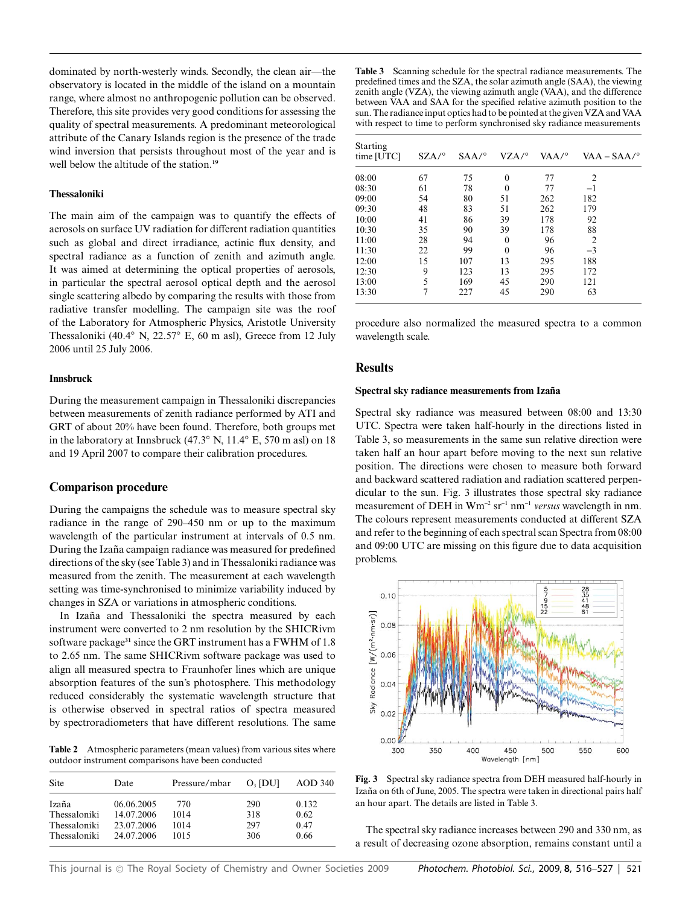dominated by north-westerly winds. Secondly, the clean air—the observatory is located in the middle of the island on a mountain range, where almost no anthropogenic pollution can be observed. Therefore, this site provides very good conditions for assessing the quality of spectral measurements. A predominant meteorological attribute of the Canary Islands region is the presence of the trade wind inversion that persists throughout most of the year and is well below the altitude of the station.**<sup>19</sup>**

#### **Thessaloniki**

The main aim of the campaign was to quantify the effects of aerosols on surface UV radiation for different radiation quantities such as global and direct irradiance, actinic flux density, and spectral radiance as a function of zenith and azimuth angle. It was aimed at determining the optical properties of aerosols, in particular the spectral aerosol optical depth and the aerosol single scattering albedo by comparing the results with those from radiative transfer modelling. The campaign site was the roof of the Laboratory for Atmospheric Physics, Aristotle University Thessaloniki (40.4*◦* N, 22.57*◦* E, 60 m asl), Greece from 12 July 2006 until 25 July 2006.

#### **Innsbruck**

During the measurement campaign in Thessaloniki discrepancies between measurements of zenith radiance performed by ATI and GRT of about 20% have been found. Therefore, both groups met in the laboratory at Innsbruck (47.3*◦* N, 11.4*◦* E, 570 m asl) on 18 and 19 April 2007 to compare their calibration procedures.

#### **Comparison procedure**

During the campaigns the schedule was to measure spectral sky radiance in the range of 290–450 nm or up to the maximum wavelength of the particular instrument at intervals of 0.5 nm. During the Izaña campaign radiance was measured for predefined directions of the sky (see Table 3) and in Thessaloniki radiance was measured from the zenith. The measurement at each wavelength setting was time-synchronised to minimize variability induced by changes in SZA or variations in atmospheric conditions.

In Izaña and Thessaloniki the spectra measured by each instrument were converted to 2 nm resolution by the SHICRivm software package**<sup>31</sup>** since the GRT instrument has a FWHM of 1.8 to 2.65 nm. The same SHICRivm software package was used to align all measured spectra to Fraunhofer lines which are unique absorption features of the sun's photosphere. This methodology reduced considerably the systematic wavelength structure that is otherwise observed in spectral ratios of spectra measured by spectroradiometers that have different resolutions. The same

**Table 2** Atmospheric parameters (mean values) from various sites where outdoor instrument comparisons have been conducted

| Site         | Date       | Pressure/mbar | $O3$ [DU] | AOD 340 |
|--------------|------------|---------------|-----------|---------|
| Izaña        | 06.06.2005 | 770           | 290       | 0.132   |
| Thessaloniki | 14.07.2006 | 1014          | 318       | 0.62    |
| Thessaloniki | 23.07.2006 | 1014          | 297       | 0.47    |
| Thessaloniki | 24.07.2006 | 1015          | 306       | 0.66    |

**Table 3** Scanning schedule for the spectral radiance measurements. The predefined times and the SZA, the solar azimuth angle (SAA), the viewing zenith angle (VZA), the viewing azimuth angle (VAA), and the difference between VAA and SAA for the specified relative azimuth position to the sun. The radiance input optics had to be pointed at the given VZA and VAA with respect to time to perform synchronised sky radiance measurements

| <b>Starting</b><br>time [UTC] | SZA/° | SAA/° | VZA/°    | VAA/° | $VAA - SAA/°$  |
|-------------------------------|-------|-------|----------|-------|----------------|
| 08:00                         | 67    | 75    | $\theta$ | 77    | $\overline{2}$ |
| 08:30                         | 61    | 78    | $\theta$ | 77    | $-1$           |
| 09:00                         | 54    | 80    | 51       | 262   | 182            |
| 09:30                         | 48    | 83    | 51       | 262   | 179            |
| 10:00                         | 41    | 86    | 39       | 178   | 92             |
| 10:30                         | 35    | 90    | 39       | 178   | 88             |
| 11:00                         | 28    | 94    | $\theta$ | 96    | $\overline{2}$ |
| 11:30                         | 22    | 99    | $\Omega$ | 96    | $-3$           |
| 12:00                         | 15    | 107   | 13       | 295   | 188            |
| 12:30                         | 9     | 123   | 13       | 295   | 172            |
| 13:00                         | 5     | 169   | 45       | 290   | 121            |
| 13:30                         | 7     | 227   | 45       | 290   | 63             |

procedure also normalized the measured spectra to a common wavelength scale.

## **Results**

#### Spectral sky radiance measurements from Izaña

Spectral sky radiance was measured between 08:00 and 13:30 UTC. Spectra were taken half-hourly in the directions listed in Table 3, so measurements in the same sun relative direction were taken half an hour apart before moving to the next sun relative position. The directions were chosen to measure both forward and backward scattered radiation and radiation scattered perpendicular to the sun. Fig. 3 illustrates those spectral sky radiance measurement of DEH in Wm-<sup>2</sup> sr-<sup>1</sup> nm-<sup>1</sup> *versus* wavelength in nm. The colours represent measurements conducted at different SZA and refer to the beginning of each spectral scan Spectra from 08:00 and 09:00 UTC are missing on this figure due to data acquisition problems.



**Fig. 3** Spectral sky radiance spectra from DEH measured half-hourly in Izaña on 6th of June, 2005. The spectra were taken in directional pairs half an hour apart. The details are listed in Table 3.

The spectral sky radiance increases between 290 and 330 nm, as a result of decreasing ozone absorption, remains constant until a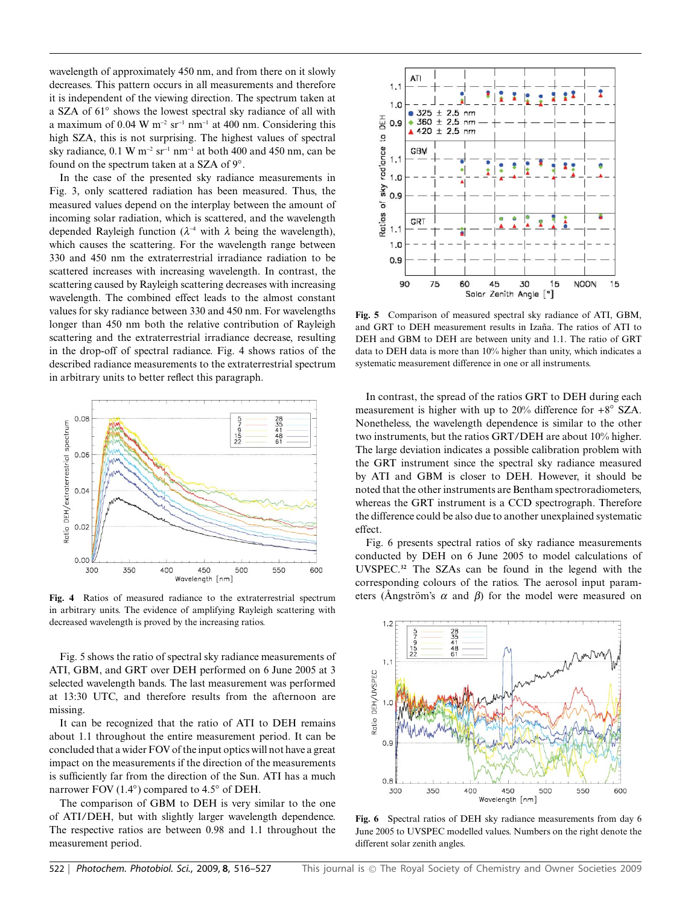wavelength of approximately 450 nm, and from there on it slowly decreases. This pattern occurs in all measurements and therefore it is independent of the viewing direction. The spectrum taken at a SZA of 61*◦* shows the lowest spectral sky radiance of all with a maximum of 0.04 W  $m^{-2}$  sr<sup>-1</sup> nm<sup>-1</sup> at 400 nm. Considering this high SZA, this is not surprising. The highest values of spectral sky radiance,  $0.1 \text{ W m}^{-2} \text{ sr}^{-1} \text{ nm}^{-1}$  at both 400 and 450 nm, can be found on the spectrum taken at a SZA of 9*◦*.

In the case of the presented sky radiance measurements in Fig. 3, only scattered radiation has been measured. Thus, the measured values depend on the interplay between the amount of incoming solar radiation, which is scattered, and the wavelength depended Rayleigh function ( $\lambda^{-4}$  with  $\lambda$  being the wavelength), which causes the scattering. For the wavelength range between 330 and 450 nm the extraterrestrial irradiance radiation to be scattered increases with increasing wavelength. In contrast, the scattering caused by Rayleigh scattering decreases with increasing wavelength. The combined effect leads to the almost constant values for sky radiance between 330 and 450 nm. For wavelengths longer than 450 nm both the relative contribution of Rayleigh scattering and the extraterrestrial irradiance decrease, resulting in the drop-off of spectral radiance. Fig. 4 shows ratios of the described radiance measurements to the extraterrestrial spectrum in arbitrary units to better reflect this paragraph.



**Fig. 4** Ratios of measured radiance to the extraterrestrial spectrum in arbitrary units. The evidence of amplifying Rayleigh scattering with decreased wavelength is proved by the increasing ratios.

Fig. 5 shows the ratio of spectral sky radiance measurements of ATI, GBM, and GRT over DEH performed on 6 June 2005 at 3 selected wavelength bands. The last measurement was performed at 13:30 UTC, and therefore results from the afternoon are missing.

It can be recognized that the ratio of ATI to DEH remains about 1.1 throughout the entire measurement period. It can be concluded that a wider FOV of the input optics will not have a great impact on the measurements if the direction of the measurements is sufficiently far from the direction of the Sun. ATI has a much narrower FOV (1.4*◦*) compared to 4.5*◦* of DEH.

The comparison of GBM to DEH is very similar to the one of ATI/DEH, but with slightly larger wavelength dependence. The respective ratios are between 0.98 and 1.1 throughout the measurement period.



**Fig. 5** Comparison of measured spectral sky radiance of ATI, GBM, and GRT to DEH measurement results in Izaña. The ratios of ATI to DEH and GBM to DEH are between unity and 1.1. The ratio of GRT data to DEH data is more than 10% higher than unity, which indicates a systematic measurement difference in one or all instruments.

In contrast, the spread of the ratios GRT to DEH during each measurement is higher with up to 20% difference for +8*◦* SZA. Nonetheless, the wavelength dependence is similar to the other two instruments, but the ratios GRT/DEH are about 10% higher. The large deviation indicates a possible calibration problem with the GRT instrument since the spectral sky radiance measured by ATI and GBM is closer to DEH. However, it should be noted that the other instruments are Bentham spectroradiometers, whereas the GRT instrument is a CCD spectrograph. Therefore the difference could be also due to another unexplained systematic effect.

Fig. 6 presents spectral ratios of sky radiance measurements conducted by DEH on 6 June 2005 to model calculations of UVSPEC.**<sup>32</sup>** The SZAs can be found in the legend with the corresponding colours of the ratios. The aerosol input parameters (Angström's  $\alpha$  and  $\beta$ ) for the model were measured on



**Fig. 6** Spectral ratios of DEH sky radiance measurements from day 6 June 2005 to UVSPEC modelled values. Numbers on the right denote the different solar zenith angles.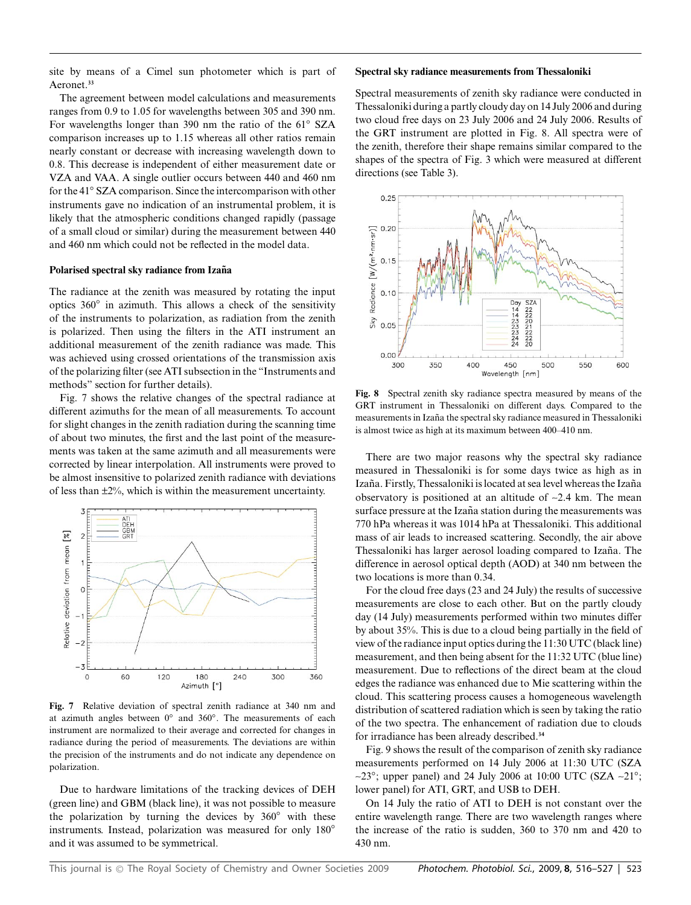site by means of a Cimel sun photometer which is part of Aeronet.**<sup>33</sup>**

The agreement between model calculations and measurements ranges from 0.9 to 1.05 for wavelengths between 305 and 390 nm. For wavelengths longer than 390 nm the ratio of the 61*◦* SZA comparison increases up to 1.15 whereas all other ratios remain nearly constant or decrease with increasing wavelength down to 0.8. This decrease is independent of either measurement date or VZA and VAA. A single outlier occurs between 440 and 460 nm for the 41*◦* SZA comparison. Since the intercomparison with other instruments gave no indication of an instrumental problem, it is likely that the atmospheric conditions changed rapidly (passage of a small cloud or similar) during the measurement between 440 and 460 nm which could not be reflected in the model data.

#### Polarised spectral sky radiance from Izaña

The radiance at the zenith was measured by rotating the input optics 360*◦* in azimuth. This allows a check of the sensitivity of the instruments to polarization, as radiation from the zenith is polarized. Then using the filters in the ATI instrument an additional measurement of the zenith radiance was made. This was achieved using crossed orientations of the transmission axis of the polarizing filter (see ATI subsection in the "Instruments and methods" section for further details).

Fig. 7 shows the relative changes of the spectral radiance at different azimuths for the mean of all measurements. To account for slight changes in the zenith radiation during the scanning time of about two minutes, the first and the last point of the measurements was taken at the same azimuth and all measurements were corrected by linear interpolation. All instruments were proved to be almost insensitive to polarized zenith radiance with deviations of less than ±2%, which is within the measurement uncertainty.



**Fig. 7** Relative deviation of spectral zenith radiance at 340 nm and at azimuth angles between 0*◦* and 360*◦*. The measurements of each instrument are normalized to their average and corrected for changes in radiance during the period of measurements. The deviations are within the precision of the instruments and do not indicate any dependence on polarization.

Due to hardware limitations of the tracking devices of DEH (green line) and GBM (black line), it was not possible to measure the polarization by turning the devices by 360*◦* with these instruments. Instead, polarization was measured for only 180*◦* and it was assumed to be symmetrical.

#### **Spectral sky radiance measurements from Thessaloniki**

Spectral measurements of zenith sky radiance were conducted in Thessaloniki during a partly cloudy day on 14 July 2006 and during two cloud free days on 23 July 2006 and 24 July 2006. Results of the GRT instrument are plotted in Fig. 8. All spectra were of the zenith, therefore their shape remains similar compared to the shapes of the spectra of Fig. 3 which were measured at different directions (see Table 3).



**Fig. 8** Spectral zenith sky radiance spectra measured by means of the GRT instrument in Thessaloniki on different days. Compared to the measurements in Izaña the spectral sky radiance measured in Thessaloniki is almost twice as high at its maximum between 400–410 nm.

There are two major reasons why the spectral sky radiance measured in Thessaloniki is for some days twice as high as in Izaña. Firstly, Thessaloniki is located at sea level whereas the Izaña observatory is positioned at an altitude of ~2.4 km. The mean surface pressure at the Izaña station during the measurements was 770 hPa whereas it was 1014 hPa at Thessaloniki. This additional mass of air leads to increased scattering. Secondly, the air above Thessaloniki has larger aerosol loading compared to Izaña. The difference in aerosol optical depth (AOD) at 340 nm between the two locations is more than 0.34.

For the cloud free days (23 and 24 July) the results of successive measurements are close to each other. But on the partly cloudy day (14 July) measurements performed within two minutes differ by about 35%. This is due to a cloud being partially in the field of view of the radiance input optics during the 11:30 UTC (black line) measurement, and then being absent for the 11:32 UTC (blue line) measurement. Due to reflections of the direct beam at the cloud edges the radiance was enhanced due to Mie scattering within the cloud. This scattering process causes a homogeneous wavelength distribution of scattered radiation which is seen by taking the ratio of the two spectra. The enhancement of radiation due to clouds for irradiance has been already described.**<sup>34</sup>**

Fig. 9 shows the result of the comparison of zenith sky radiance measurements performed on 14 July 2006 at 11:30 UTC (SZA ~23*◦*; upper panel) and 24 July 2006 at 10:00 UTC (SZA ~21*◦*; lower panel) for ATI, GRT, and USB to DEH.

On 14 July the ratio of ATI to DEH is not constant over the entire wavelength range. There are two wavelength ranges where the increase of the ratio is sudden, 360 to 370 nm and 420 to 430 nm.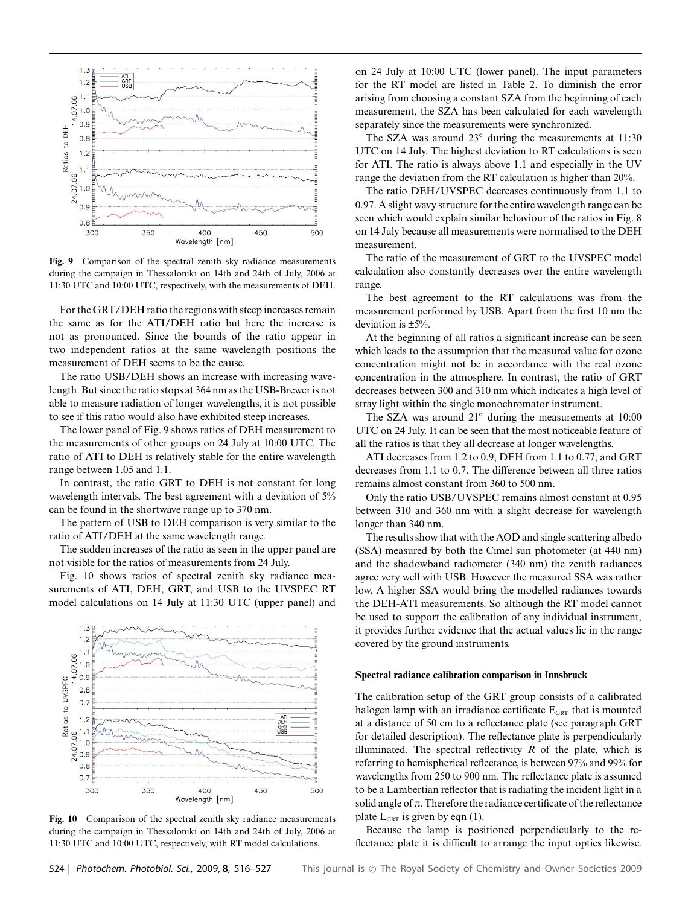

**Fig. 9** Comparison of the spectral zenith sky radiance measurements during the campaign in Thessaloniki on 14th and 24th of July, 2006 at 11:30 UTC and 10:00 UTC, respectively, with the measurements of DEH.

For the GRT/DEH ratio the regions with steep increases remain the same as for the ATI/DEH ratio but here the increase is not as pronounced. Since the bounds of the ratio appear in two independent ratios at the same wavelength positions the measurement of DEH seems to be the cause.

The ratio USB/DEH shows an increase with increasing wavelength. But since the ratio stops at 364 nm as the USB-Brewer is not able to measure radiation of longer wavelengths, it is not possible to see if this ratio would also have exhibited steep increases.

The lower panel of Fig. 9 shows ratios of DEH measurement to the measurements of other groups on 24 July at 10:00 UTC. The ratio of ATI to DEH is relatively stable for the entire wavelength range between 1.05 and 1.1.

In contrast, the ratio GRT to DEH is not constant for long wavelength intervals. The best agreement with a deviation of 5% can be found in the shortwave range up to 370 nm.

The pattern of USB to DEH comparison is very similar to the ratio of ATI/DEH at the same wavelength range.

The sudden increases of the ratio as seen in the upper panel are not visible for the ratios of measurements from 24 July.

Fig. 10 shows ratios of spectral zenith sky radiance measurements of ATI, DEH, GRT, and USB to the UVSPEC RT model calculations on 14 July at 11:30 UTC (upper panel) and



**Fig. 10** Comparison of the spectral zenith sky radiance measurements during the campaign in Thessaloniki on 14th and 24th of July, 2006 at 11:30 UTC and 10:00 UTC, respectively, with RT model calculations.

on 24 July at 10:00 UTC (lower panel). The input parameters for the RT model are listed in Table 2. To diminish the error arising from choosing a constant SZA from the beginning of each measurement, the SZA has been calculated for each wavelength separately since the measurements were synchronized.

The SZA was around 23*◦* during the measurements at 11:30 UTC on 14 July. The highest deviation to RT calculations is seen for ATI. The ratio is always above 1.1 and especially in the UV range the deviation from the RT calculation is higher than 20%.

The ratio DEH/UVSPEC decreases continuously from 1.1 to 0.97. A slight wavy structure for the entire wavelength range can be seen which would explain similar behaviour of the ratios in Fig. 8 on 14 July because all measurements were normalised to the DEH measurement.

The ratio of the measurement of GRT to the UVSPEC model calculation also constantly decreases over the entire wavelength range.

The best agreement to the RT calculations was from the measurement performed by USB. Apart from the first 10 nm the deviation is ±5%.

At the beginning of all ratios a significant increase can be seen which leads to the assumption that the measured value for ozone concentration might not be in accordance with the real ozone concentration in the atmosphere. In contrast, the ratio of GRT decreases between 300 and 310 nm which indicates a high level of stray light within the single monochromator instrument.

The SZA was around 21*◦* during the measurements at 10:00 UTC on 24 July. It can be seen that the most noticeable feature of all the ratios is that they all decrease at longer wavelengths.

ATI decreases from 1.2 to 0.9, DEH from 1.1 to 0.77, and GRT decreases from 1.1 to 0.7. The difference between all three ratios remains almost constant from 360 to 500 nm.

Only the ratio USB/UVSPEC remains almost constant at 0.95 between 310 and 360 nm with a slight decrease for wavelength longer than 340 nm.

The results show that with the AOD and single scattering albedo (SSA) measured by both the Cimel sun photometer (at 440 nm) and the shadowband radiometer (340 nm) the zenith radiances agree very well with USB. However the measured SSA was rather low. A higher SSA would bring the modelled radiances towards the DEH-ATI measurements. So although the RT model cannot be used to support the calibration of any individual instrument, it provides further evidence that the actual values lie in the range covered by the ground instruments.

#### **Spectral radiance calibration comparison in Innsbruck**

The calibration setup of the GRT group consists of a calibrated halogen lamp with an irradiance certificate  $E<sub>GRT</sub>$  that is mounted at a distance of 50 cm to a reflectance plate (see paragraph GRT for detailed description). The reflectance plate is perpendicularly illuminated. The spectral reflectivity  $R$  of the plate, which is referring to hemispherical reflectance, is between 97% and 99% for wavelengths from 250 to 900 nm. The reflectance plate is assumed to be a Lambertian reflector that is radiating the incident light in a solid angle of  $\pi$ . Therefore the radiance certificate of the reflectance plate  $L_{GRT}$  is given by eqn (1).

Because the lamp is positioned perpendicularly to the reflectance plate it is difficult to arrange the input optics likewise.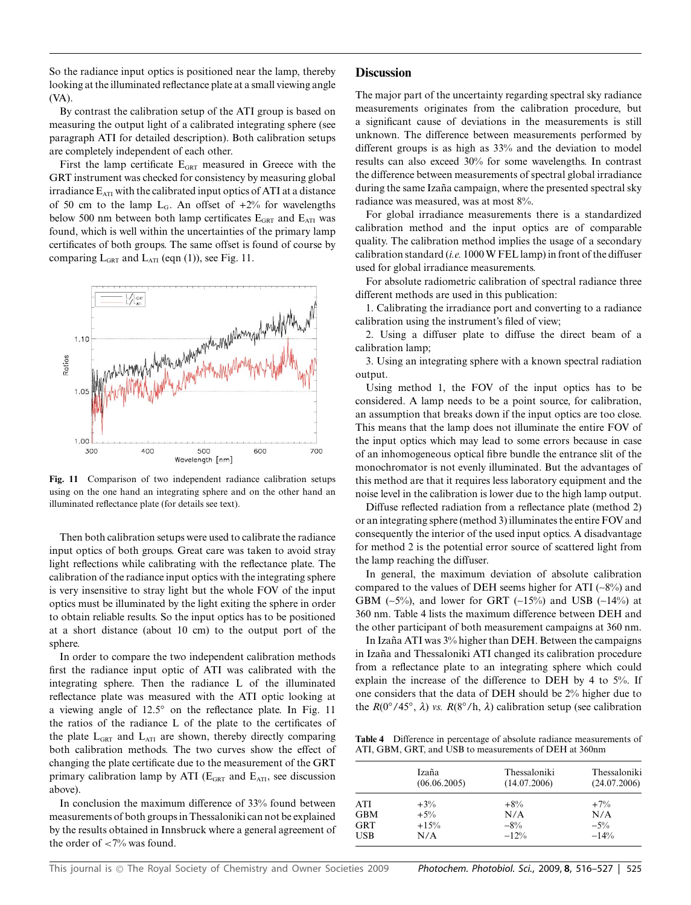So the radiance input optics is positioned near the lamp, thereby looking at the illuminated reflectance plate at a small viewing angle (VA).

By contrast the calibration setup of the ATI group is based on measuring the output light of a calibrated integrating sphere (see paragraph ATI for detailed description). Both calibration setups are completely independent of each other.

First the lamp certificate  $E<sub>GRT</sub>$  measured in Greece with the GRT instrument was checked for consistency by measuring global irradiance  $E_{ATI}$  with the calibrated input optics of ATI at a distance of 50 cm to the lamp  $L_G$ . An offset of  $+2\%$  for wavelengths below 500 nm between both lamp certificates  $E<sub>GRT</sub>$  and  $E<sub>ATI</sub>$  was found, which is well within the uncertainties of the primary lamp certificates of both groups. The same offset is found of course by comparing  $L_{GRT}$  and  $L_{ATI}$  (eqn (1)), see Fig. 11.



**Fig. 11** Comparison of two independent radiance calibration setups using on the one hand an integrating sphere and on the other hand an illuminated reflectance plate (for details see text).

Then both calibration setups were used to calibrate the radiance input optics of both groups. Great care was taken to avoid stray light reflections while calibrating with the reflectance plate. The calibration of the radiance input optics with the integrating sphere is very insensitive to stray light but the whole FOV of the input optics must be illuminated by the light exiting the sphere in order to obtain reliable results. So the input optics has to be positioned at a short distance (about 10 cm) to the output port of the sphere.

In order to compare the two independent calibration methods first the radiance input optic of ATI was calibrated with the integrating sphere. Then the radiance L of the illuminated reflectance plate was measured with the ATI optic looking at a viewing angle of 12.5*◦* on the reflectance plate. In Fig. 11 the ratios of the radiance L of the plate to the certificates of the plate  $L_{GRT}$  and  $L_{ATI}$  are shown, thereby directly comparing both calibration methods. The two curves show the effect of changing the plate certificate due to the measurement of the GRT primary calibration lamp by ATI ( $E<sub>GRT</sub>$  and  $E<sub>ATI</sub>$ , see discussion above).

In conclusion the maximum difference of 33% found between measurements of both groups in Thessaloniki can not be explained by the results obtained in Innsbruck where a general agreement of the order of <7% was found.

#### **Discussion**

The major part of the uncertainty regarding spectral sky radiance measurements originates from the calibration procedure, but a significant cause of deviations in the measurements is still unknown. The difference between measurements performed by different groups is as high as 33% and the deviation to model results can also exceed 30% for some wavelengths. In contrast the difference between measurements of spectral global irradiance during the same Izaña campaign, where the presented spectral sky radiance was measured, was at most 8%.

For global irradiance measurements there is a standardized calibration method and the input optics are of comparable quality. The calibration method implies the usage of a secondary calibration standard (*i.e.* 1000 W FEL lamp) in front of the diffuser used for global irradiance measurements.

For absolute radiometric calibration of spectral radiance three different methods are used in this publication:

1. Calibrating the irradiance port and converting to a radiance calibration using the instrument's filed of view;

2. Using a diffuser plate to diffuse the direct beam of a calibration lamp;

3. Using an integrating sphere with a known spectral radiation output.

Using method 1, the FOV of the input optics has to be considered. A lamp needs to be a point source, for calibration, an assumption that breaks down if the input optics are too close. This means that the lamp does not illuminate the entire FOV of the input optics which may lead to some errors because in case of an inhomogeneous optical fibre bundle the entrance slit of the monochromator is not evenly illuminated. But the advantages of this method are that it requires less laboratory equipment and the noise level in the calibration is lower due to the high lamp output.

Diffuse reflected radiation from a reflectance plate (method 2) or an integrating sphere (method 3) illuminates the entire FOV and consequently the interior of the used input optics. A disadvantage for method 2 is the potential error source of scattered light from the lamp reaching the diffuser.

In general, the maximum deviation of absolute calibration compared to the values of DEH seems higher for ATI  $(-8%)$  and GBM  $(-5\%)$ , and lower for GRT  $(-15\%)$  and USB  $(-14\%)$  at 360 nm. Table 4 lists the maximum difference between DEH and the other participant of both measurement campaigns at 360 nm.

In Izaña ATI was 3% higher than DEH. Between the campaigns in Izaña and Thessaloniki ATI changed its calibration procedure from a reflectance plate to an integrating sphere which could explain the increase of the difference to DEH by 4 to 5%. If one considers that the data of DEH should be 2% higher due to the *R*(0*◦*/45*◦*, *l*) *vs. R*(8*◦*/h, *l*) calibration setup (see calibration

**Table 4** Difference in percentage of absolute radiance measurements of ATI, GBM, GRT, and USB to measurements of DEH at 360nm

|            | Izaña<br>(06.06.2005) | Thessaloniki<br>(14.07.2006) | Thessaloniki<br>(24.07.2006) |
|------------|-----------------------|------------------------------|------------------------------|
| <b>ATI</b> | $+3\%$                | $+8\%$                       | $+7\%$                       |
| <b>GBM</b> | $+5\%$                | N/A                          | N/A                          |
| <b>GRT</b> | $+15%$                | $-8\%$                       | $-5\%$                       |
| <b>USB</b> | N/A                   | $-12%$                       | $-14%$                       |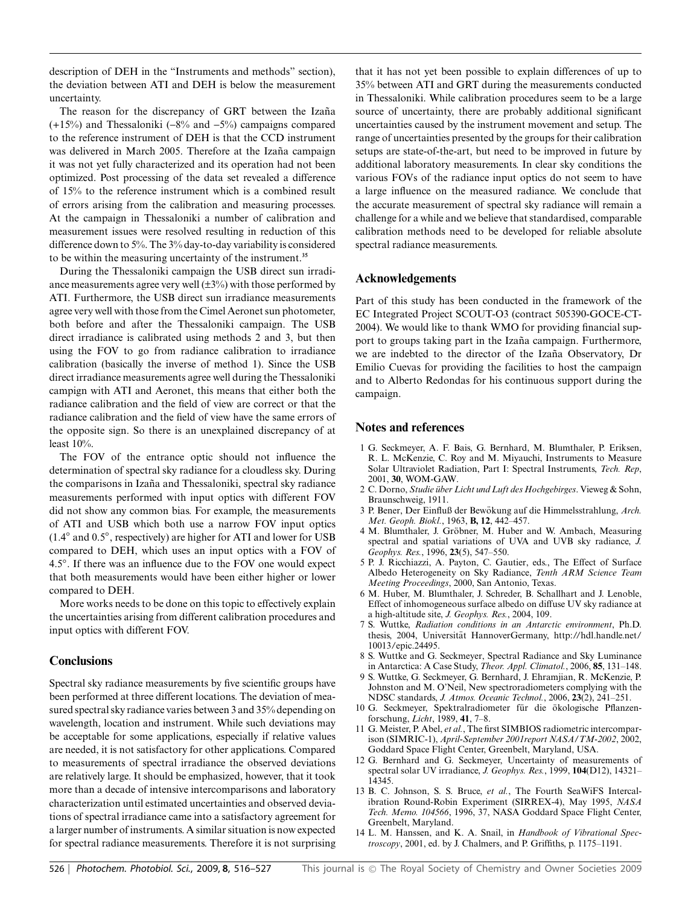description of DEH in the "Instruments and methods" section), the deviation between ATI and DEH is below the measurement uncertainty.

The reason for the discrepancy of GRT between the Izaña  $(+15%)$  and Thessaloniki  $(-8%)$  and  $-5%)$  campaigns compared to the reference instrument of DEH is that the CCD instrument was delivered in March 2005. Therefore at the Izaña campaign it was not yet fully characterized and its operation had not been optimized. Post processing of the data set revealed a difference of 15% to the reference instrument which is a combined result of errors arising from the calibration and measuring processes. At the campaign in Thessaloniki a number of calibration and measurement issues were resolved resulting in reduction of this difference down to 5%. The 3% day-to-day variability is considered to be within the measuring uncertainty of the instrument.**<sup>35</sup>**

During the Thessaloniki campaign the USB direct sun irradiance measurements agree very well  $(\pm 3\%)$  with those performed by ATI. Furthermore, the USB direct sun irradiance measurements agree very well with those from the Cimel Aeronet sun photometer, both before and after the Thessaloniki campaign. The USB direct irradiance is calibrated using methods 2 and 3, but then using the FOV to go from radiance calibration to irradiance calibration (basically the inverse of method 1). Since the USB direct irradiance measurements agree well during the Thessaloniki campign with ATI and Aeronet, this means that either both the radiance calibration and the field of view are correct or that the radiance calibration and the field of view have the same errors of the opposite sign. So there is an unexplained discrepancy of at least 10%.

The FOV of the entrance optic should not influence the determination of spectral sky radiance for a cloudless sky. During the comparisons in Izaña and Thessaloniki, spectral sky radiance measurements performed with input optics with different FOV did not show any common bias. For example, the measurements of ATI and USB which both use a narrow FOV input optics (1.4*◦* and 0.5*◦*, respectively) are higher for ATI and lower for USB compared to DEH, which uses an input optics with a FOV of 4.5*◦*. If there was an influence due to the FOV one would expect that both measurements would have been either higher or lower compared to DEH.

More works needs to be done on this topic to effectively explain the uncertainties arising from different calibration procedures and input optics with different FOV.

# **Conclusions**

Spectral sky radiance measurements by five scientific groups have been performed at three different locations. The deviation of measured spectral sky radiance varies between 3 and 35% depending on wavelength, location and instrument. While such deviations may be acceptable for some applications, especially if relative values are needed, it is not satisfactory for other applications. Compared to measurements of spectral irradiance the observed deviations are relatively large. It should be emphasized, however, that it took more than a decade of intensive intercomparisons and laboratory characterization until estimated uncertainties and observed deviations of spectral irradiance came into a satisfactory agreement for a larger number of instruments. A similar situation is now expected for spectral radiance measurements. Therefore it is not surprising that it has not yet been possible to explain differences of up to 35% between ATI and GRT during the measurements conducted in Thessaloniki. While calibration procedures seem to be a large source of uncertainty, there are probably additional significant uncertainties caused by the instrument movement and setup. The range of uncertainties presented by the groups for their calibration setups are state-of-the-art, but need to be improved in future by additional laboratory measurements. In clear sky conditions the various FOVs of the radiance input optics do not seem to have a large influence on the measured radiance. We conclude that the accurate measurement of spectral sky radiance will remain a challenge for a while and we believe that standardised, comparable calibration methods need to be developed for reliable absolute spectral radiance measurements.

## **Acknowledgements**

Part of this study has been conducted in the framework of the EC Integrated Project SCOUT-O3 (contract 505390-GOCE-CT-2004). We would like to thank WMO for providing financial support to groups taking part in the Izaña campaign. Furthermore, we are indebted to the director of the Izaña Observatory, Dr Emilio Cuevas for providing the facilities to host the campaign and to Alberto Redondas for his continuous support during the campaign.

## **Notes and references**

- 1 G. Seckmeyer, A. F. Bais, G. Bernhard, M. Blumthaler, P. Eriksen, R. L. McKenzie, C. Roy and M. Miyauchi, Instruments to Measure Solar Ultraviolet Radiation, Part I: Spectral Instruments, *Tech. Rep*, 2001, **30**, WOM-GAW.
- 2 C. Dorno, *Studie über Licht und Luft des Hochgebirges*. Vieweg & Sohn, Braunschweig, 1911.
- 3 P. Bener, Der Einfluß der Bewökung auf die Himmelsstrahlung, Arch. *Met. Geoph. Biokl.*, 1963, **B, 12**, 442–457.
- 4 M. Blumthaler, J. Gröbner, M. Huber and W. Ambach, Measuring spectral and spatial variations of UVA and UVB sky radiance, *J. Geophys. Res.*, 1996, **23**(5), 547–550.
- 5 P. J. Ricchiazzi, A. Payton, C. Gautier, eds., The Effect of Surface Albedo Heterogeneity on Sky Radiance, *Tenth ARM Science Team Meeting Proceedings*, 2000, San Antonio, Texas.
- 6 M. Huber, M. Blumthaler, J. Schreder, B. Schallhart and J. Lenoble, Effect of inhomogeneous surface albedo on diffuse UV sky radiance at a high-altitude site, *J. Geophys. Res.*, 2004, 109.
- 7 S. Wuttke, *Radiation conditions in an Antarctic environment*, Ph.D. thesis, 2004, Universität HannoverGermany, http://hdl.handle.net/ 10013/epic.24495.
- 8 S. Wuttke and G. Seckmeyer, Spectral Radiance and Sky Luminance in Antarctica: A Case Study, *Theor. Appl. Climatol.*, 2006, **85**, 131–148.
- 9 S. Wuttke, G. Seckmeyer, G. Bernhard, J. Ehramjian, R. McKenzie, P. Johnston and M. O'Neil, New spectroradiometers complying with the NDSC standards, *J. Atmos. Oceanic Technol.*, 2006, **23**(2), 241–251.
- 10 G. Seckmeyer, Spektralradiometer für die ökologische Pflanzenforschung, *Licht*, 1989, **41**, 7–8.
- 11 G. Meister, P. Abel, *et al.*, The first SIMBIOS radiometric intercomparison (SIMRIC-1), *April-September 2001report NASA/TM-2002*, 2002, Goddard Space Flight Center, Greenbelt, Maryland, USA.
- 12 G. Bernhard and G. Seckmeyer, Uncertainty of measurements of spectral solar UV irradiance, *J. Geophys. Res.*, 1999, **104**(D12), 14321– 14345.
- 13 B. C. Johnson, S. S. Bruce, *et al.*, The Fourth SeaWiFS Intercalibration Round-Robin Experiment (SIRREX-4), May 1995, *NASA Tech. Memo. 104566*, 1996, 37, NASA Goddard Space Flight Center, Greenbelt, Maryland.
- 14 L. M. Hanssen, and K. A. Snail, in *Handbook of Vibrational Spectroscopy*, 2001, ed. by J. Chalmers, and P. Griffiths, p. 1175–1191.